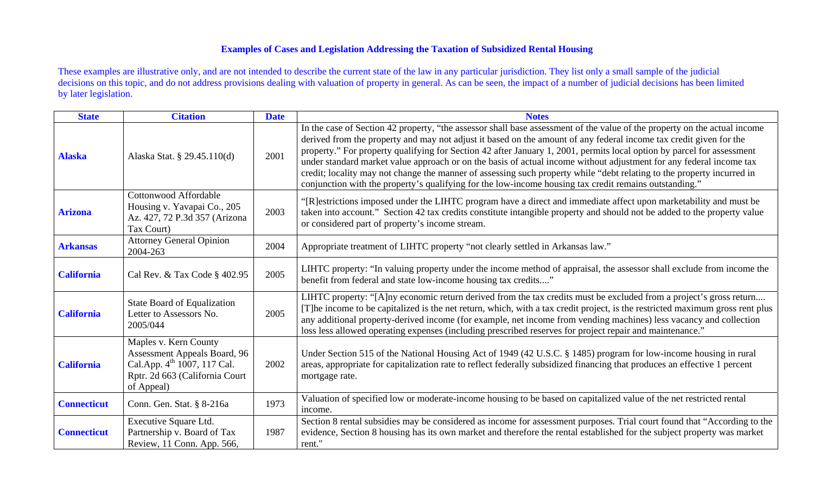## **Examples of Cases and Legislation Addressing the Taxation of Subsidized Rental Housing**

These examples are illustrative only, and are not intended to describe the current state of the law in any particular jurisdiction. They list only a small sample of the judicial decisions on this topic, and do not address provisions dealing with valuation of property in general. As can be seen, the impact of a number of judicial decisions has been limited by later legislation.

| <b>State</b>       | <b>Citation</b>                                                                                                                                         | <b>Date</b> | <b>Notes</b>                                                                                                                                                                                                                                                                                                                                                                                                                                                                                                                                                                                                                                                                                                                         |
|--------------------|---------------------------------------------------------------------------------------------------------------------------------------------------------|-------------|--------------------------------------------------------------------------------------------------------------------------------------------------------------------------------------------------------------------------------------------------------------------------------------------------------------------------------------------------------------------------------------------------------------------------------------------------------------------------------------------------------------------------------------------------------------------------------------------------------------------------------------------------------------------------------------------------------------------------------------|
| <b>Alaska</b>      | Alaska Stat. § 29.45.110(d)                                                                                                                             | 2001        | In the case of Section 42 property, "the assessor shall base assessment of the value of the property on the actual income<br>derived from the property and may not adjust it based on the amount of any federal income tax credit given for the<br>property." For property qualifying for Section 42 after January 1, 2001, permits local option by parcel for assessment<br>under standard market value approach or on the basis of actual income without adjustment for any federal income tax<br>credit; locality may not change the manner of assessing such property while "debt relating to the property incurred in<br>conjunction with the property's qualifying for the low-income housing tax credit remains outstanding." |
| <b>Arizona</b>     | Cottonwood Affordable<br>Housing v. Yavapai Co., 205<br>Az. 427, 72 P.3d 357 (Arizona<br>Tax Court)                                                     | 2003        | "[R] estrictions imposed under the LIHTC program have a direct and immediate affect upon marketability and must be<br>taken into account." Section 42 tax credits constitute intangible property and should not be added to the property value<br>or considered part of property's income stream.                                                                                                                                                                                                                                                                                                                                                                                                                                    |
| <b>Arkansas</b>    | <b>Attorney General Opinion</b><br>2004-263                                                                                                             | 2004        | Appropriate treatment of LIHTC property "not clearly settled in Arkansas law."                                                                                                                                                                                                                                                                                                                                                                                                                                                                                                                                                                                                                                                       |
| <b>California</b>  | Cal Rev. & Tax Code § 402.95                                                                                                                            | 2005        | LIHTC property: "In valuing property under the income method of appraisal, the assessor shall exclude from income the<br>benefit from federal and state low-income housing tax credits"                                                                                                                                                                                                                                                                                                                                                                                                                                                                                                                                              |
| <b>California</b>  | State Board of Equalization<br>Letter to Assessors No.<br>2005/044                                                                                      | 2005        | LIHTC property: "[A]ny economic return derived from the tax credits must be excluded from a project's gross return<br>[T]he income to be capitalized is the net return, which, with a tax credit project, is the restricted maximum gross rent plus<br>any additional property-derived income (for example, net income from vending machines) less vacancy and collection<br>loss less allowed operating expenses (including prescribed reserves for project repair and maintenance."                                                                                                                                                                                                                                                |
| <b>California</b>  | Maples v. Kern County<br><b>Assessment Appeals Board, 96</b><br>Cal.App. 4 <sup>th</sup> 1007, 117 Cal.<br>Rptr. 2d 663 (California Court<br>of Appeal) | 2002        | Under Section 515 of the National Housing Act of 1949 (42 U.S.C. § 1485) program for low-income housing in rural<br>areas, appropriate for capitalization rate to reflect federally subsidized financing that produces an effective 1 percent<br>mortgage rate.                                                                                                                                                                                                                                                                                                                                                                                                                                                                      |
| <b>Connecticut</b> | Conn. Gen. Stat. § 8-216a                                                                                                                               | 1973        | Valuation of specified low or moderate-income housing to be based on capitalized value of the net restricted rental<br>income.                                                                                                                                                                                                                                                                                                                                                                                                                                                                                                                                                                                                       |
| <b>Connecticut</b> | Executive Square Ltd.<br>Partnership v. Board of Tax<br>Review, 11 Conn. App. 566,                                                                      | 1987        | Section 8 rental subsidies may be considered as income for assessment purposes. Trial court found that "According to the<br>evidence, Section 8 housing has its own market and therefore the rental established for the subject property was market<br>rent."                                                                                                                                                                                                                                                                                                                                                                                                                                                                        |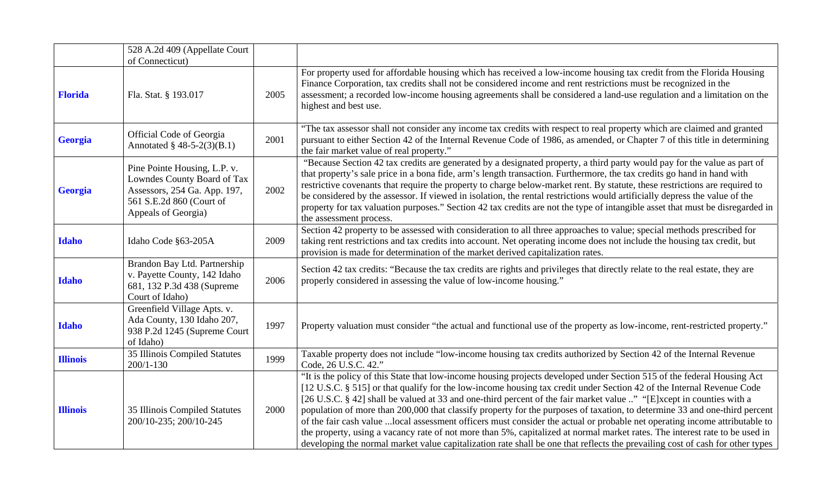|                 | 528 A.2d 409 (Appellate Court                                                                                                                  |      |                                                                                                                                                                                                                                                                                                                                                                                                                                                                                                                                                                                                                                                                                                                                                                                                                                                                                                       |
|-----------------|------------------------------------------------------------------------------------------------------------------------------------------------|------|-------------------------------------------------------------------------------------------------------------------------------------------------------------------------------------------------------------------------------------------------------------------------------------------------------------------------------------------------------------------------------------------------------------------------------------------------------------------------------------------------------------------------------------------------------------------------------------------------------------------------------------------------------------------------------------------------------------------------------------------------------------------------------------------------------------------------------------------------------------------------------------------------------|
|                 | of Connecticut)                                                                                                                                |      |                                                                                                                                                                                                                                                                                                                                                                                                                                                                                                                                                                                                                                                                                                                                                                                                                                                                                                       |
| <b>Florida</b>  | Fla. Stat. § 193.017                                                                                                                           | 2005 | For property used for affordable housing which has received a low-income housing tax credit from the Florida Housing<br>Finance Corporation, tax credits shall not be considered income and rent restrictions must be recognized in the<br>assessment; a recorded low-income housing agreements shall be considered a land-use regulation and a limitation on the<br>highest and best use.                                                                                                                                                                                                                                                                                                                                                                                                                                                                                                            |
| Georgia         | Official Code of Georgia<br>Annotated $§$ 48-5-2(3)(B.1)                                                                                       | 2001 | "The tax assessor shall not consider any income tax credits with respect to real property which are claimed and granted<br>pursuant to either Section 42 of the Internal Revenue Code of 1986, as amended, or Chapter 7 of this title in determining<br>the fair market value of real property."                                                                                                                                                                                                                                                                                                                                                                                                                                                                                                                                                                                                      |
| Georgia         | Pine Pointe Housing, L.P. v.<br>Lowndes County Board of Tax<br>Assessors, 254 Ga. App. 197,<br>561 S.E.2d 860 (Court of<br>Appeals of Georgia) | 2002 | "Because Section 42 tax credits are generated by a designated property, a third party would pay for the value as part of<br>that property's sale price in a bona fide, arm's length transaction. Furthermore, the tax credits go hand in hand with<br>restrictive covenants that require the property to charge below-market rent. By statute, these restrictions are required to<br>be considered by the assessor. If viewed in isolation, the rental restrictions would artificially depress the value of the<br>property for tax valuation purposes." Section 42 tax credits are not the type of intangible asset that must be disregarded in<br>the assessment process.                                                                                                                                                                                                                           |
| <b>Idaho</b>    | Idaho Code §63-205A                                                                                                                            | 2009 | Section 42 property to be assessed with consideration to all three approaches to value; special methods prescribed for<br>taking rent restrictions and tax credits into account. Net operating income does not include the housing tax credit, but<br>provision is made for determination of the market derived capitalization rates.                                                                                                                                                                                                                                                                                                                                                                                                                                                                                                                                                                 |
| <b>Idaho</b>    | Brandon Bay Ltd. Partnership<br>v. Payette County, 142 Idaho<br>681, 132 P.3d 438 (Supreme<br>Court of Idaho)                                  | 2006 | Section 42 tax credits: "Because the tax credits are rights and privileges that directly relate to the real estate, they are<br>properly considered in assessing the value of low-income housing."                                                                                                                                                                                                                                                                                                                                                                                                                                                                                                                                                                                                                                                                                                    |
| <b>Idaho</b>    | Greenfield Village Apts. v.<br>Ada County, 130 Idaho 207,<br>938 P.2d 1245 (Supreme Court<br>of Idaho)                                         | 1997 | Property valuation must consider "the actual and functional use of the property as low-income, rent-restricted property."                                                                                                                                                                                                                                                                                                                                                                                                                                                                                                                                                                                                                                                                                                                                                                             |
| <b>Illinois</b> | 35 Illinois Compiled Statutes<br>$200/1 - 130$                                                                                                 | 1999 | Taxable property does not include "low-income housing tax credits authorized by Section 42 of the Internal Revenue<br>Code, 26 U.S.C. 42."                                                                                                                                                                                                                                                                                                                                                                                                                                                                                                                                                                                                                                                                                                                                                            |
| <b>Illinois</b> | 35 Illinois Compiled Statutes<br>200/10-235; 200/10-245                                                                                        | 2000 | "It is the policy of this State that low-income housing projects developed under Section 515 of the federal Housing Act<br>[12 U.S.C. § 515] or that qualify for the low-income housing tax credit under Section 42 of the Internal Revenue Code<br>[26 U.S.C. § 42] shall be valued at 33 and one-third percent of the fair market value " "[E]xcept in counties with a<br>population of more than 200,000 that classify property for the purposes of taxation, to determine 33 and one-third percent<br>of the fair cash value  local assessment officers must consider the actual or probable net operating income attributable to<br>the property, using a vacancy rate of not more than 5%, capitalized at normal market rates. The interest rate to be used in<br>developing the normal market value capitalization rate shall be one that reflects the prevailing cost of cash for other types |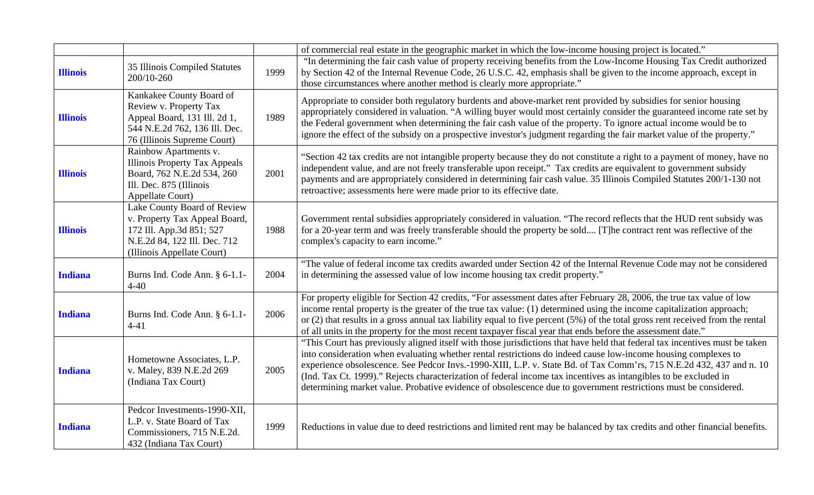|                 |                                                                                                                                                        |      | of commercial real estate in the geographic market in which the low-income housing project is located."                                                                                                                                                                                                                                                                                                                                                                                                                                                                                                      |
|-----------------|--------------------------------------------------------------------------------------------------------------------------------------------------------|------|--------------------------------------------------------------------------------------------------------------------------------------------------------------------------------------------------------------------------------------------------------------------------------------------------------------------------------------------------------------------------------------------------------------------------------------------------------------------------------------------------------------------------------------------------------------------------------------------------------------|
| <b>Illinois</b> | 35 Illinois Compiled Statutes<br>200/10-260                                                                                                            | 1999 | "In determining the fair cash value of property receiving benefits from the Low-Income Housing Tax Credit authorized<br>by Section 42 of the Internal Revenue Code, 26 U.S.C. 42, emphasis shall be given to the income approach, except in<br>those circumstances where another method is clearly more appropriate."                                                                                                                                                                                                                                                                                        |
| <b>Illinois</b> | Kankakee County Board of<br>Review v. Property Tax<br>Appeal Board, 131 Ill. 2d 1,<br>544 N.E.2d 762, 136 Ill. Dec.<br>76 (Illinois Supreme Court)     | 1989 | Appropriate to consider both regulatory burdents and above-market rent provided by subsidies for senior housing<br>appropriately considered in valuation. "A willing buyer would most certainly consider the guaranteed income rate set by<br>the Federal government when determining the fair cash value of the property. To ignore actual income would be to<br>ignore the effect of the subsidy on a prospective investor's judgment regarding the fair market value of the property."                                                                                                                    |
| <b>Illinois</b> | Rainbow Apartments v.<br><b>Illinois Property Tax Appeals</b><br>Board, 762 N.E.2d 534, 260<br>Ill. Dec. 875 (Illinois<br><b>Appellate Court)</b>      | 2001 | "Section 42 tax credits are not intangible property because they do not constitute a right to a payment of money, have no<br>independent value, and are not freely transferable upon receipt." Tax credits are equivalent to government subsidy<br>payments and are appropriately considered in determining fair cash value. 35 Illinois Compiled Statutes 200/1-130 not<br>retroactive; assessments here were made prior to its effective date.                                                                                                                                                             |
| <b>Illinois</b> | Lake County Board of Review<br>v. Property Tax Appeal Board,<br>172 Ill. App.3d 851; 527<br>N.E.2d 84, 122 Ill. Dec. 712<br>(Illinois Appellate Court) | 1988 | Government rental subsidies appropriately considered in valuation. "The record reflects that the HUD rent subsidy was<br>for a 20-year term and was freely transferable should the property be sold [T]he contract rent was reflective of the<br>complex's capacity to earn income."                                                                                                                                                                                                                                                                                                                         |
| <b>Indiana</b>  | Burns Ind. Code Ann. § 6-1.1-<br>$4 - 40$                                                                                                              | 2004 | "The value of federal income tax credits awarded under Section 42 of the Internal Revenue Code may not be considered<br>in determining the assessed value of low income housing tax credit property."                                                                                                                                                                                                                                                                                                                                                                                                        |
| <b>Indiana</b>  | Burns Ind. Code Ann. § 6-1.1-<br>$4 - 41$                                                                                                              | 2006 | For property eligible for Section 42 credits, "For assessment dates after February 28, 2006, the true tax value of low<br>income rental property is the greater of the true tax value: (1) determined using the income capitalization approach;<br>or $(2)$ that results in a gross annual tax liability equal to five percent $(5%)$ of the total gross rent received from the rental<br>of all units in the property for the most recent taxpayer fiscal year that ends before the assessment date."                                                                                                       |
| <b>Indiana</b>  | Hometowne Associates, L.P.<br>v. Maley, 839 N.E.2d 269<br>(Indiana Tax Court)                                                                          | 2005 | "This Court has previously aligned itself with those jurisdictions that have held that federal tax incentives must be taken<br>into consideration when evaluating whether rental restrictions do indeed cause low-income housing complexes to<br>experience obsolescence. See Pedcor Invs.-1990-XIII, L.P. v. State Bd. of Tax Comm'rs, 715 N.E.2d 432, 437 and n. 10<br>(Ind. Tax Ct. 1999)." Rejects characterization of federal income tax incentives as intangibles to be excluded in<br>determining market value. Probative evidence of obsolescence due to government restrictions must be considered. |
| <b>Indiana</b>  | Pedcor Investments-1990-XII,<br>L.P. v. State Board of Tax<br>Commissioners, 715 N.E.2d.<br>432 (Indiana Tax Court)                                    | 1999 | Reductions in value due to deed restrictions and limited rent may be balanced by tax credits and other financial benefits.                                                                                                                                                                                                                                                                                                                                                                                                                                                                                   |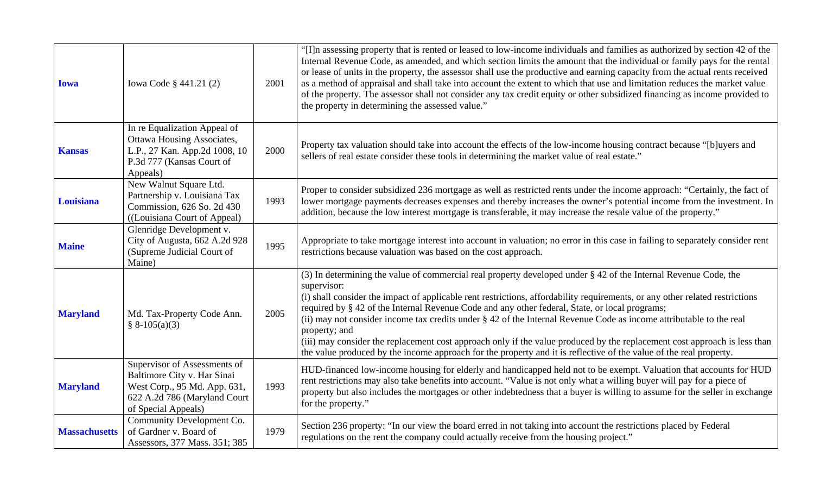| <b>Iowa</b>          | Iowa Code § 441.21 (2)                                                                                                                             | 2001 | "[I]n assessing property that is rented or leased to low-income individuals and families as authorized by section 42 of the<br>Internal Revenue Code, as amended, and which section limits the amount that the individual or family pays for the rental<br>or lease of units in the property, the assessor shall use the productive and earning capacity from the actual rents received<br>as a method of appraisal and shall take into account the extent to which that use and limitation reduces the market value<br>of the property. The assessor shall not consider any tax credit equity or other subsidized financing as income provided to<br>the property in determining the assessed value."                                                      |
|----------------------|----------------------------------------------------------------------------------------------------------------------------------------------------|------|-------------------------------------------------------------------------------------------------------------------------------------------------------------------------------------------------------------------------------------------------------------------------------------------------------------------------------------------------------------------------------------------------------------------------------------------------------------------------------------------------------------------------------------------------------------------------------------------------------------------------------------------------------------------------------------------------------------------------------------------------------------|
| <b>Kansas</b>        | In re Equalization Appeal of<br><b>Ottawa Housing Associates,</b><br>L.P., 27 Kan. App.2d 1008, 10<br>P.3d 777 (Kansas Court of<br>Appeals)        | 2000 | Property tax valuation should take into account the effects of the low-income housing contract because "[b]uyers and<br>sellers of real estate consider these tools in determining the market value of real estate."                                                                                                                                                                                                                                                                                                                                                                                                                                                                                                                                        |
| Louisiana            | New Walnut Square Ltd.<br>Partnership v. Louisiana Tax<br>Commission, 626 So. 2d 430<br>((Louisiana Court of Appeal)                               | 1993 | Proper to consider subsidized 236 mortgage as well as restricted rents under the income approach: "Certainly, the fact of<br>lower mortgage payments decreases expenses and thereby increases the owner's potential income from the investment. In<br>addition, because the low interest mortgage is transferable, it may increase the resale value of the property."                                                                                                                                                                                                                                                                                                                                                                                       |
| <b>Maine</b>         | Glenridge Development v.<br>City of Augusta, 662 A.2d 928<br>(Supreme Judicial Court of<br>Maine)                                                  | 1995 | Appropriate to take mortgage interest into account in valuation; no error in this case in failing to separately consider rent<br>restrictions because valuation was based on the cost approach.                                                                                                                                                                                                                                                                                                                                                                                                                                                                                                                                                             |
| <b>Maryland</b>      | Md. Tax-Property Code Ann.<br>$§ 8-105(a)(3)$                                                                                                      | 2005 | (3) In determining the value of commercial real property developed under § 42 of the Internal Revenue Code, the<br>supervisor:<br>(i) shall consider the impact of applicable rent restrictions, affordability requirements, or any other related restrictions<br>required by § 42 of the Internal Revenue Code and any other federal, State, or local programs;<br>(ii) may not consider income tax credits under § 42 of the Internal Revenue Code as income attributable to the real<br>property; and<br>(iii) may consider the replacement cost approach only if the value produced by the replacement cost approach is less than<br>the value produced by the income approach for the property and it is reflective of the value of the real property. |
| <b>Maryland</b>      | Supervisor of Assessments of<br>Baltimore City v. Har Sinai<br>West Corp., 95 Md. App. 631,<br>622 A.2d 786 (Maryland Court<br>of Special Appeals) | 1993 | HUD-financed low-income housing for elderly and handicapped held not to be exempt. Valuation that accounts for HUD<br>rent restrictions may also take benefits into account. "Value is not only what a willing buyer will pay for a piece of<br>property but also includes the mortgages or other indebtedness that a buyer is willing to assume for the seller in exchange<br>for the property."                                                                                                                                                                                                                                                                                                                                                           |
| <b>Massachusetts</b> | Community Development Co.<br>of Gardner v. Board of<br>Assessors, 377 Mass. 351; 385                                                               | 1979 | Section 236 property: "In our view the board erred in not taking into account the restrictions placed by Federal<br>regulations on the rent the company could actually receive from the housing project."                                                                                                                                                                                                                                                                                                                                                                                                                                                                                                                                                   |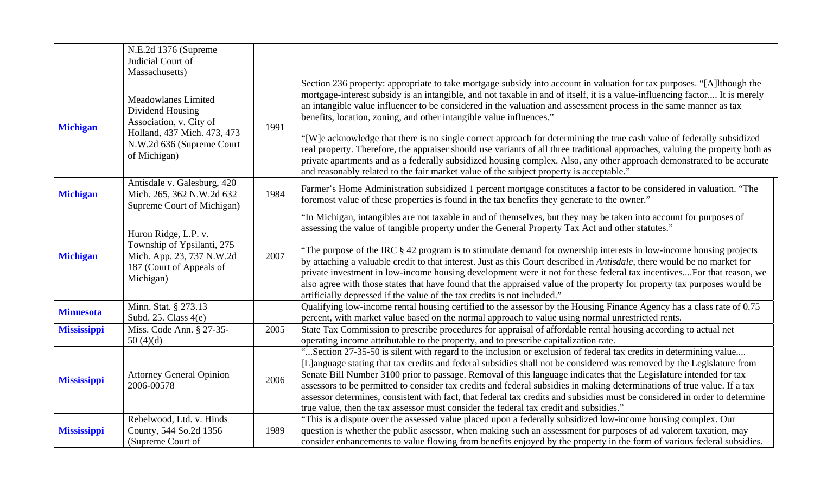|                    | N.E.2d 1376 (Supreme<br>Judicial Court of                                                                                                             |      |                                                                                                                                                                                                                                                                                                                                                                                                                                                                                                                                                                                                                                                                                                                                                                                                                                                                                                                                   |
|--------------------|-------------------------------------------------------------------------------------------------------------------------------------------------------|------|-----------------------------------------------------------------------------------------------------------------------------------------------------------------------------------------------------------------------------------------------------------------------------------------------------------------------------------------------------------------------------------------------------------------------------------------------------------------------------------------------------------------------------------------------------------------------------------------------------------------------------------------------------------------------------------------------------------------------------------------------------------------------------------------------------------------------------------------------------------------------------------------------------------------------------------|
|                    | Massachusetts)                                                                                                                                        |      |                                                                                                                                                                                                                                                                                                                                                                                                                                                                                                                                                                                                                                                                                                                                                                                                                                                                                                                                   |
| <b>Michigan</b>    | <b>Meadowlanes Limited</b><br>Dividend Housing<br>Association, v. City of<br>Holland, 437 Mich. 473, 473<br>N.W.2d 636 (Supreme Court<br>of Michigan) | 1991 | Section 236 property: appropriate to take mortgage subsidy into account in valuation for tax purposes. "[A]lthough the<br>mortgage-interest subsidy is an intangible, and not taxable in and of itself, it is a value-influencing factor It is merely<br>an intangible value influencer to be considered in the valuation and assessment process in the same manner as tax<br>benefits, location, zoning, and other intangible value influences."<br>"[W]e acknowledge that there is no single correct approach for determining the true cash value of federally subsidized<br>real property. Therefore, the appraiser should use variants of all three traditional approaches, valuing the property both as<br>private apartments and as a federally subsidized housing complex. Also, any other approach demonstrated to be accurate<br>and reasonably related to the fair market value of the subject property is acceptable." |
| <b>Michigan</b>    | Antisdale v. Galesburg, 420<br>Mich. 265, 362 N.W.2d 632<br>Supreme Court of Michigan)                                                                | 1984 | Farmer's Home Administration subsidized 1 percent mortgage constitutes a factor to be considered in valuation. "The<br>foremost value of these properties is found in the tax benefits they generate to the owner."                                                                                                                                                                                                                                                                                                                                                                                                                                                                                                                                                                                                                                                                                                               |
| <b>Michigan</b>    | Huron Ridge, L.P. v.<br>Township of Ypsilanti, 275<br>Mich. App. 23, 737 N.W.2d<br>187 (Court of Appeals of<br>Michigan)                              | 2007 | "In Michigan, intangibles are not taxable in and of themselves, but they may be taken into account for purposes of<br>assessing the value of tangible property under the General Property Tax Act and other statutes."<br>"The purpose of the IRC § 42 program is to stimulate demand for ownership interests in low-income housing projects<br>by attaching a valuable credit to that interest. Just as this Court described in Antisdale, there would be no market for<br>private investment in low-income housing development were it not for these federal tax incentivesFor that reason, we<br>also agree with those states that have found that the appraised value of the property for property tax purposes would be<br>artificially depressed if the value of the tax credits is not included."                                                                                                                          |
| <b>Minnesota</b>   | Minn. Stat. § 273.13<br>Subd. 25. Class $4(e)$                                                                                                        |      | Qualifying low-income rental housing certified to the assessor by the Housing Finance Agency has a class rate of 0.75<br>percent, with market value based on the normal approach to value using normal unrestricted rents.                                                                                                                                                                                                                                                                                                                                                                                                                                                                                                                                                                                                                                                                                                        |
| <b>Mississippi</b> | Miss. Code Ann. § 27-35-<br>50(4)(d)                                                                                                                  | 2005 | State Tax Commission to prescribe procedures for appraisal of affordable rental housing according to actual net<br>operating income attributable to the property, and to prescribe capitalization rate.                                                                                                                                                                                                                                                                                                                                                                                                                                                                                                                                                                                                                                                                                                                           |
| <b>Mississippi</b> | <b>Attorney General Opinion</b><br>2006-00578                                                                                                         | 2006 | "Section 27-35-50 is silent with regard to the inclusion or exclusion of federal tax credits in determining value<br>[L]anguage stating that tax credits and federal subsidies shall not be considered was removed by the Legislature from<br>Senate Bill Number 3100 prior to passage. Removal of this language indicates that the Legislature intended for tax<br>assessors to be permitted to consider tax credits and federal subsidies in making determinations of true value. If a tax<br>assessor determines, consistent with fact, that federal tax credits and subsidies must be considered in order to determine<br>true value, then the tax assessor must consider the federal tax credit and subsidies."                                                                                                                                                                                                              |
| <b>Mississippi</b> | Rebelwood, Ltd. v. Hinds<br>County, 544 So.2d 1356<br>(Supreme Court of                                                                               | 1989 | "This is a dispute over the assessed value placed upon a federally subsidized low-income housing complex. Our<br>question is whether the public assessor, when making such an assessment for purposes of ad valorem taxation, may<br>consider enhancements to value flowing from benefits enjoyed by the property in the form of various federal subsidies.                                                                                                                                                                                                                                                                                                                                                                                                                                                                                                                                                                       |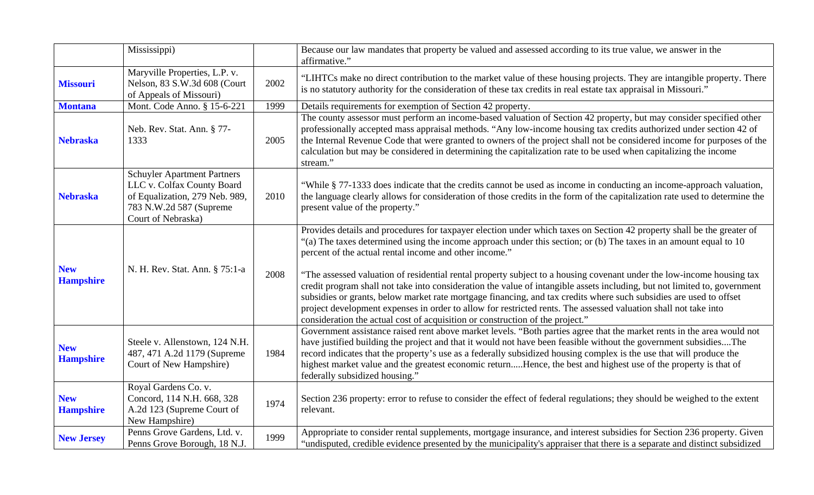|                                | Mississippi)                                                                                                                                         |      | Because our law mandates that property be valued and assessed according to its true value, we answer in the<br>affirmative."                                                                                                                                                                                                                                                                                                                                                                                                                                |
|--------------------------------|------------------------------------------------------------------------------------------------------------------------------------------------------|------|-------------------------------------------------------------------------------------------------------------------------------------------------------------------------------------------------------------------------------------------------------------------------------------------------------------------------------------------------------------------------------------------------------------------------------------------------------------------------------------------------------------------------------------------------------------|
| <b>Missouri</b>                | Maryville Properties, L.P. v.<br>Nelson, 83 S.W.3d 608 (Court<br>of Appeals of Missouri)                                                             | 2002 | "LIHTCs make no direct contribution to the market value of these housing projects. They are intangible property. There<br>is no statutory authority for the consideration of these tax credits in real estate tax appraisal in Missouri."                                                                                                                                                                                                                                                                                                                   |
| <b>Montana</b>                 | Mont. Code Anno. § 15-6-221                                                                                                                          | 1999 | Details requirements for exemption of Section 42 property.                                                                                                                                                                                                                                                                                                                                                                                                                                                                                                  |
| <b>Nebraska</b>                | Neb. Rev. Stat. Ann. § 77-<br>1333                                                                                                                   | 2005 | The county assessor must perform an income-based valuation of Section 42 property, but may consider specified other<br>professionally accepted mass appraisal methods. "Any low-income housing tax credits authorized under section 42 of<br>the Internal Revenue Code that were granted to owners of the project shall not be considered income for purposes of the<br>calculation but may be considered in determining the capitalization rate to be used when capitalizing the income<br>stream."                                                        |
| <b>Nebraska</b>                | <b>Schuyler Apartment Partners</b><br>LLC v. Colfax County Board<br>of Equalization, 279 Neb. 989,<br>783 N.W.2d 587 (Supreme)<br>Court of Nebraska) | 2010 | "While § 77-1333 does indicate that the credits cannot be used as income in conducting an income-approach valuation,<br>the language clearly allows for consideration of those credits in the form of the capitalization rate used to determine the<br>present value of the property."                                                                                                                                                                                                                                                                      |
| <b>New</b><br><b>Hampshire</b> | N. H. Rev. Stat. Ann. § 75:1-a                                                                                                                       | 2008 | Provides details and procedures for taxpayer election under which taxes on Section 42 property shall be the greater of<br>"(a) The taxes determined using the income approach under this section; or (b) The taxes in an amount equal to 10<br>percent of the actual rental income and other income."<br>"The assessed valuation of residential rental property subject to a housing covenant under the low-income housing tax<br>credit program shall not take into consideration the value of intangible assets including, but not limited to, government |
|                                |                                                                                                                                                      |      | subsidies or grants, below market rate mortgage financing, and tax credits where such subsidies are used to offset<br>project development expenses in order to allow for restricted rents. The assessed valuation shall not take into<br>consideration the actual cost of acquisition or construction of the project."                                                                                                                                                                                                                                      |
| <b>New</b><br><b>Hampshire</b> | Steele v. Allenstown, 124 N.H.<br>487, 471 A.2d 1179 (Supreme<br>Court of New Hampshire)                                                             | 1984 | Government assistance raised rent above market levels. "Both parties agree that the market rents in the area would not<br>have justified building the project and that it would not have been feasible without the government subsidiesThe<br>record indicates that the property's use as a federally subsidized housing complex is the use that will produce the<br>highest market value and the greatest economic returnHence, the best and highest use of the property is that of<br>federally subsidized housing."                                      |
| <b>New</b><br><b>Hampshire</b> | Royal Gardens Co. v.<br>Concord, 114 N.H. 668, 328<br>A.2d 123 (Supreme Court of<br>New Hampshire)                                                   | 1974 | Section 236 property: error to refuse to consider the effect of federal regulations; they should be weighed to the extent<br>relevant.                                                                                                                                                                                                                                                                                                                                                                                                                      |
| <b>New Jersey</b>              | Penns Grove Gardens, Ltd. v.<br>Penns Grove Borough, 18 N.J.                                                                                         | 1999 | Appropriate to consider rental supplements, mortgage insurance, and interest subsidies for Section 236 property. Given<br>"undisputed, credible evidence presented by the municipality's appraiser that there is a separate and distinct subsidized                                                                                                                                                                                                                                                                                                         |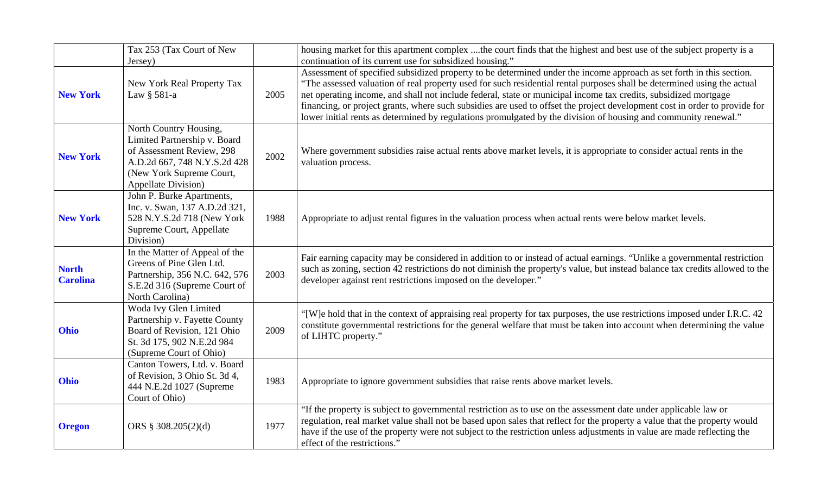|                                 | Tax 253 (Tax Court of New                                                                                                                                                      |      | housing market for this apartment complex the court finds that the highest and best use of the subject property is a                                                                                                                                                                                                                                                                                                                                                                                                                                                                                                                                                            |
|---------------------------------|--------------------------------------------------------------------------------------------------------------------------------------------------------------------------------|------|---------------------------------------------------------------------------------------------------------------------------------------------------------------------------------------------------------------------------------------------------------------------------------------------------------------------------------------------------------------------------------------------------------------------------------------------------------------------------------------------------------------------------------------------------------------------------------------------------------------------------------------------------------------------------------|
| <b>New York</b>                 | Jersey)<br>New York Real Property Tax<br>Law § 581-a                                                                                                                           | 2005 | continuation of its current use for subsidized housing."<br>Assessment of specified subsidized property to be determined under the income approach as set forth in this section.<br>"The assessed valuation of real property used for such residential rental purposes shall be determined using the actual<br>net operating income, and shall not include federal, state or municipal income tax credits, subsidized mortgage<br>financing, or project grants, where such subsidies are used to offset the project development cost in order to provide for<br>lower initial rents as determined by regulations promulgated by the division of housing and community renewal." |
| <b>New York</b>                 | North Country Housing,<br>Limited Partnership v. Board<br>of Assessment Review, 298<br>A.D.2d 667, 748 N.Y.S.2d 428<br>(New York Supreme Court,<br><b>Appellate Division</b> ) | 2002 | Where government subsidies raise actual rents above market levels, it is appropriate to consider actual rents in the<br>valuation process.                                                                                                                                                                                                                                                                                                                                                                                                                                                                                                                                      |
| <b>New York</b>                 | John P. Burke Apartments,<br>Inc. v. Swan, 137 A.D.2d 321,<br>528 N.Y.S.2d 718 (New York<br>Supreme Court, Appellate<br>Division)                                              | 1988 | Appropriate to adjust rental figures in the valuation process when actual rents were below market levels.                                                                                                                                                                                                                                                                                                                                                                                                                                                                                                                                                                       |
| <b>North</b><br><b>Carolina</b> | In the Matter of Appeal of the<br>Greens of Pine Glen Ltd.<br>Partnership, 356 N.C. 642, 576<br>S.E.2d 316 (Supreme Court of<br>North Carolina)                                | 2003 | Fair earning capacity may be considered in addition to or instead of actual earnings. "Unlike a governmental restriction<br>such as zoning, section 42 restrictions do not diminish the property's value, but instead balance tax credits allowed to the<br>developer against rent restrictions imposed on the developer."                                                                                                                                                                                                                                                                                                                                                      |
| Ohio                            | Woda Ivy Glen Limited<br>Partnership v. Fayette County<br>Board of Revision, 121 Ohio<br>St. 3d 175, 902 N.E.2d 984<br>(Supreme Court of Ohio)                                 | 2009 | "[W]e hold that in the context of appraising real property for tax purposes, the use restrictions imposed under I.R.C. 42<br>constitute governmental restrictions for the general welfare that must be taken into account when determining the value<br>of LIHTC property."                                                                                                                                                                                                                                                                                                                                                                                                     |
| <b>Ohio</b>                     | Canton Towers, Ltd. v. Board<br>of Revision, 3 Ohio St. 3d 4,<br>444 N.E.2d 1027 (Supreme<br>Court of Ohio)                                                                    | 1983 | Appropriate to ignore government subsidies that raise rents above market levels.                                                                                                                                                                                                                                                                                                                                                                                                                                                                                                                                                                                                |
| <b>Oregon</b>                   | ORS § 308.205(2)(d)                                                                                                                                                            | 1977 | "If the property is subject to governmental restriction as to use on the assessment date under applicable law or<br>regulation, real market value shall not be based upon sales that reflect for the property a value that the property would<br>have if the use of the property were not subject to the restriction unless adjustments in value are made reflecting the<br>effect of the restrictions."                                                                                                                                                                                                                                                                        |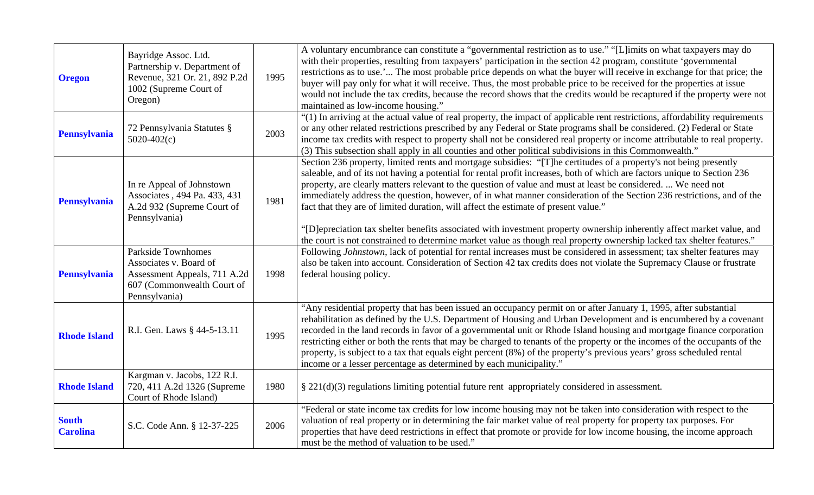| <b>Oregon</b>                   | Bayridge Assoc. Ltd.<br>Partnership v. Department of<br>Revenue, 321 Or. 21, 892 P.2d<br>1002 (Supreme Court of<br>Oregon)         | 1995 | A voluntary encumbrance can constitute a "governmental restriction as to use." "[L]imits on what taxpayers may do<br>with their properties, resulting from taxpayers' participation in the section 42 program, constitute 'governmental<br>restrictions as to use.' The most probable price depends on what the buyer will receive in exchange for that price; the<br>buyer will pay only for what it will receive. Thus, the most probable price to be received for the properties at issue<br>would not include the tax credits, because the record shows that the credits would be recaptured if the property were not<br>maintained as low-income housing."                                                                                                                                                                     |
|---------------------------------|------------------------------------------------------------------------------------------------------------------------------------|------|-------------------------------------------------------------------------------------------------------------------------------------------------------------------------------------------------------------------------------------------------------------------------------------------------------------------------------------------------------------------------------------------------------------------------------------------------------------------------------------------------------------------------------------------------------------------------------------------------------------------------------------------------------------------------------------------------------------------------------------------------------------------------------------------------------------------------------------|
| <b>Pennsylvania</b>             | 72 Pennsylvania Statutes §<br>$5020-402(c)$                                                                                        | 2003 | "(1) In arriving at the actual value of real property, the impact of applicable rent restrictions, affordability requirements<br>or any other related restrictions prescribed by any Federal or State programs shall be considered. (2) Federal or State<br>income tax credits with respect to property shall not be considered real property or income attributable to real property.<br>(3) This subsection shall apply in all counties and other political subdivisions in this Commonwealth."                                                                                                                                                                                                                                                                                                                                   |
| <b>Pennsylvania</b>             | In re Appeal of Johnstown<br>Associates, 494 Pa. 433, 431<br>A.2d 932 (Supreme Court of<br>Pennsylvania)                           | 1981 | Section 236 property, limited rents and mortgage subsidies: "[T]he certitudes of a property's not being presently<br>saleable, and of its not having a potential for rental profit increases, both of which are factors unique to Section 236<br>property, are clearly matters relevant to the question of value and must at least be considered.  We need not<br>immediately address the question, however, of in what manner consideration of the Section 236 restrictions, and of the<br>fact that they are of limited duration, will affect the estimate of present value."<br>"[D]epreciation tax shelter benefits associated with investment property ownership inherently affect market value, and<br>the court is not constrained to determine market value as though real property ownership lacked tax shelter features." |
| <b>Pennsylvania</b>             | <b>Parkside Townhomes</b><br>Associates v. Board of<br>Assessment Appeals, 711 A.2d<br>607 (Commonwealth Court of<br>Pennsylvania) | 1998 | Following Johnstown, lack of potential for rental increases must be considered in assessment; tax shelter features may<br>also be taken into account. Consideration of Section 42 tax credits does not violate the Supremacy Clause or frustrate<br>federal housing policy.                                                                                                                                                                                                                                                                                                                                                                                                                                                                                                                                                         |
| <b>Rhode Island</b>             | R.I. Gen. Laws § 44-5-13.11                                                                                                        | 1995 | "Any residential property that has been issued an occupancy permit on or after January 1, 1995, after substantial<br>rehabilitation as defined by the U.S. Department of Housing and Urban Development and is encumbered by a covenant<br>recorded in the land records in favor of a governmental unit or Rhode Island housing and mortgage finance corporation<br>restricting either or both the rents that may be charged to tenants of the property or the incomes of the occupants of the<br>property, is subject to a tax that equals eight percent (8%) of the property's previous years' gross scheduled rental<br>income or a lesser percentage as determined by each municipality."                                                                                                                                        |
| <b>Rhode Island</b>             | Kargman v. Jacobs, 122 R.I.<br>720, 411 A.2d 1326 (Supreme)<br>Court of Rhode Island)                                              | 1980 | $\S$ 221(d)(3) regulations limiting potential future rent appropriately considered in assessment.                                                                                                                                                                                                                                                                                                                                                                                                                                                                                                                                                                                                                                                                                                                                   |
| <b>South</b><br><b>Carolina</b> | S.C. Code Ann. § 12-37-225                                                                                                         | 2006 | "Federal or state income tax credits for low income housing may not be taken into consideration with respect to the<br>valuation of real property or in determining the fair market value of real property for property tax purposes. For<br>properties that have deed restrictions in effect that promote or provide for low income housing, the income approach<br>must be the method of valuation to be used."                                                                                                                                                                                                                                                                                                                                                                                                                   |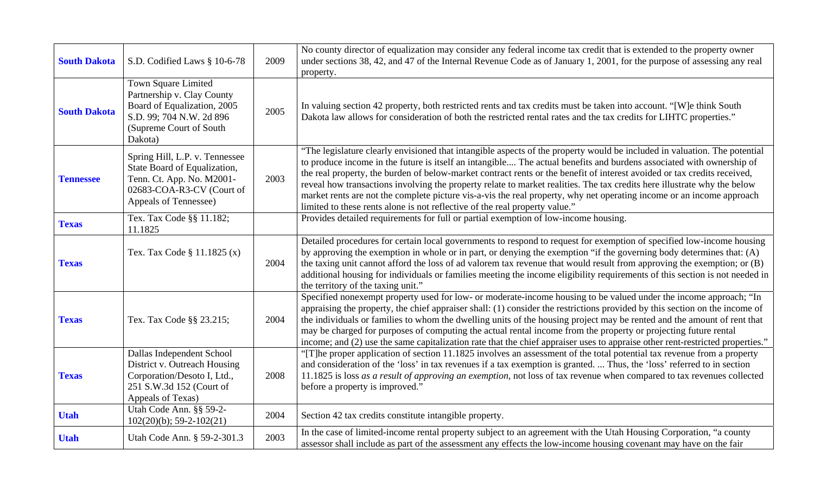| <b>South Dakota</b> | S.D. Codified Laws § 10-6-78                                                                                                                       | 2009 | No county director of equalization may consider any federal income tax credit that is extended to the property owner<br>under sections 38, 42, and 47 of the Internal Revenue Code as of January 1, 2001, for the purpose of assessing any real<br>property.                                                                                                                                                                                                                                                                                                                                                                                                                                                      |
|---------------------|----------------------------------------------------------------------------------------------------------------------------------------------------|------|-------------------------------------------------------------------------------------------------------------------------------------------------------------------------------------------------------------------------------------------------------------------------------------------------------------------------------------------------------------------------------------------------------------------------------------------------------------------------------------------------------------------------------------------------------------------------------------------------------------------------------------------------------------------------------------------------------------------|
| <b>South Dakota</b> | Town Square Limited<br>Partnership v. Clay County<br>Board of Equalization, 2005<br>S.D. 99; 704 N.W. 2d 896<br>(Supreme Court of South<br>Dakota) | 2005 | In valuing section 42 property, both restricted rents and tax credits must be taken into account. "[W]e think South<br>Dakota law allows for consideration of both the restricted rental rates and the tax credits for LIHTC properties."                                                                                                                                                                                                                                                                                                                                                                                                                                                                         |
| <b>Tennessee</b>    | Spring Hill, L.P. v. Tennessee<br>State Board of Equalization,<br>Tenn. Ct. App. No. M2001-<br>02683-COA-R3-CV (Court of<br>Appeals of Tennessee)  | 2003 | "The legislature clearly envisioned that intangible aspects of the property would be included in valuation. The potential<br>to produce income in the future is itself an intangible The actual benefits and burdens associated with ownership of<br>the real property, the burden of below-market contract rents or the benefit of interest avoided or tax credits received,<br>reveal how transactions involving the property relate to market realities. The tax credits here illustrate why the below<br>market rents are not the complete picture vis-a-vis the real property, why net operating income or an income approach<br>limited to these rents alone is not reflective of the real property value." |
| <b>Texas</b>        | Tex. Tax Code §§ 11.182;<br>11.1825                                                                                                                |      | Provides detailed requirements for full or partial exemption of low-income housing.                                                                                                                                                                                                                                                                                                                                                                                                                                                                                                                                                                                                                               |
| <b>Texas</b>        | Tex. Tax Code § 11.1825 (x)                                                                                                                        | 2004 | Detailed procedures for certain local governments to respond to request for exemption of specified low-income housing<br>by approving the exemption in whole or in part, or denying the exemption "if the governing body determines that: (A)<br>the taxing unit cannot afford the loss of ad valorem tax revenue that would result from approving the exemption; or (B)<br>additional housing for individuals or families meeting the income eligibility requirements of this section is not needed in<br>the territory of the taxing unit."                                                                                                                                                                     |
| <b>Texas</b>        | Tex. Tax Code §§ 23.215;                                                                                                                           | 2004 | Specified nonexempt property used for low- or moderate-income housing to be valued under the income approach; "In<br>appraising the property, the chief appraiser shall: (1) consider the restrictions provided by this section on the income of<br>the individuals or families to whom the dwelling units of the housing project may be rented and the amount of rent that<br>may be charged for purposes of computing the actual rental income from the property or projecting future rental<br>income; and (2) use the same capitalization rate that the chief appraiser uses to appraise other rent-restricted properties."                                                                                   |
| <b>Texas</b>        | Dallas Independent School<br>District v. Outreach Housing<br>Corporation/Desoto I, Ltd.,<br>251 S.W.3d 152 (Court of<br>Appeals of Texas)          | 2008 | "[T]he proper application of section 11.1825 involves an assessment of the total potential tax revenue from a property<br>and consideration of the 'loss' in tax revenues if a tax exemption is granted.  Thus, the 'loss' referred to in section<br>11.1825 is loss as a result of approving an exemption, not loss of tax revenue when compared to tax revenues collected<br>before a property is improved."                                                                                                                                                                                                                                                                                                    |
| <b>Utah</b>         | Utah Code Ann. §§ 59-2-<br>$102(20)(b)$ ; 59-2- $102(21)$                                                                                          | 2004 | Section 42 tax credits constitute intangible property.                                                                                                                                                                                                                                                                                                                                                                                                                                                                                                                                                                                                                                                            |
| <b>Utah</b>         | Utah Code Ann. § 59-2-301.3                                                                                                                        | 2003 | In the case of limited-income rental property subject to an agreement with the Utah Housing Corporation, "a county<br>assessor shall include as part of the assessment any effects the low-income housing covenant may have on the fair                                                                                                                                                                                                                                                                                                                                                                                                                                                                           |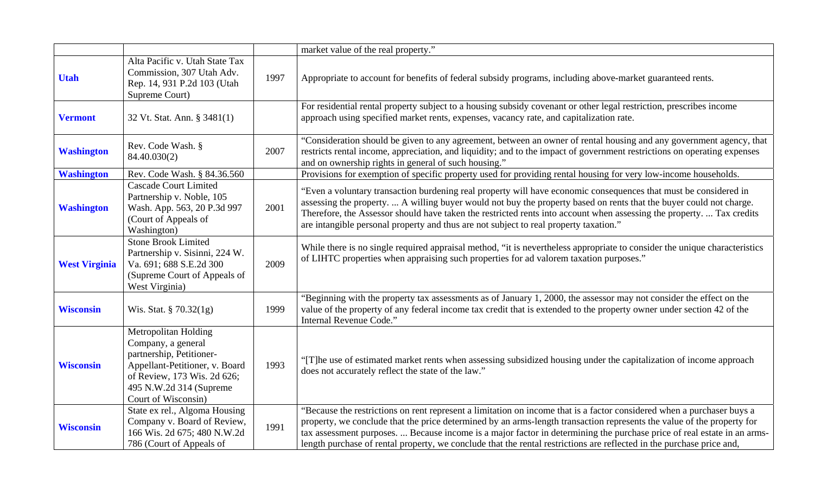|                      |                                                                                                                                                                                           |      | market value of the real property."                                                                                                                                                                                                                                                                                                                                                                                                                                                                  |
|----------------------|-------------------------------------------------------------------------------------------------------------------------------------------------------------------------------------------|------|------------------------------------------------------------------------------------------------------------------------------------------------------------------------------------------------------------------------------------------------------------------------------------------------------------------------------------------------------------------------------------------------------------------------------------------------------------------------------------------------------|
| <b>Utah</b>          | Alta Pacific v. Utah State Tax<br>Commission, 307 Utah Adv.<br>Rep. 14, 931 P.2d 103 (Utah<br>Supreme Court)                                                                              | 1997 | Appropriate to account for benefits of federal subsidy programs, including above-market guaranteed rents.                                                                                                                                                                                                                                                                                                                                                                                            |
| <b>Vermont</b>       | 32 Vt. Stat. Ann. § 3481(1)                                                                                                                                                               |      | For residential rental property subject to a housing subsidy covenant or other legal restriction, prescribes income<br>approach using specified market rents, expenses, vacancy rate, and capitalization rate.                                                                                                                                                                                                                                                                                       |
| <b>Washington</b>    | Rev. Code Wash. §<br>84.40.030(2)                                                                                                                                                         | 2007 | "Consideration should be given to any agreement, between an owner of rental housing and any government agency, that<br>restricts rental income, appreciation, and liquidity; and to the impact of government restrictions on operating expenses<br>and on ownership rights in general of such housing."                                                                                                                                                                                              |
| <b>Washington</b>    | Rev. Code Wash. § 84.36.560                                                                                                                                                               |      | Provisions for exemption of specific property used for providing rental housing for very low-income households.                                                                                                                                                                                                                                                                                                                                                                                      |
| <b>Washington</b>    | <b>Cascade Court Limited</b><br>Partnership v. Noble, 105<br>Wash. App. 563, 20 P.3d 997<br>(Court of Appeals of<br>Washington)                                                           | 2001 | "Even a voluntary transaction burdening real property will have economic consequences that must be considered in<br>assessing the property.  A willing buyer would not buy the property based on rents that the buyer could not charge.<br>Therefore, the Assessor should have taken the restricted rents into account when assessing the property.  Tax credits<br>are intangible personal property and thus are not subject to real property taxation."                                            |
| <b>West Virginia</b> | <b>Stone Brook Limited</b><br>Partnership v. Sisinni, 224 W.<br>Va. 691; 688 S.E.2d 300<br>(Supreme Court of Appeals of<br>West Virginia)                                                 | 2009 | While there is no single required appraisal method, "it is nevertheless appropriate to consider the unique characteristics<br>of LIHTC properties when appraising such properties for ad valorem taxation purposes."                                                                                                                                                                                                                                                                                 |
| <b>Wisconsin</b>     | Wis. Stat. § 70.32(1g)                                                                                                                                                                    | 1999 | "Beginning with the property tax assessments as of January 1, 2000, the assessor may not consider the effect on the<br>value of the property of any federal income tax credit that is extended to the property owner under section 42 of the<br>Internal Revenue Code."                                                                                                                                                                                                                              |
| <b>Wisconsin</b>     | Metropolitan Holding<br>Company, a general<br>partnership, Petitioner-<br>Appellant-Petitioner, v. Board<br>of Review, 173 Wis. 2d 626;<br>495 N.W.2d 314 (Supreme<br>Court of Wisconsin) | 1993 | "[T]he use of estimated market rents when assessing subsidized housing under the capitalization of income approach<br>does not accurately reflect the state of the law."                                                                                                                                                                                                                                                                                                                             |
| <b>Wisconsin</b>     | State ex rel., Algoma Housing<br>Company v. Board of Review,<br>166 Wis. 2d 675; 480 N.W.2d<br>786 (Court of Appeals of                                                                   | 1991 | "Because the restrictions on rent represent a limitation on income that is a factor considered when a purchaser buys a<br>property, we conclude that the price determined by an arms-length transaction represents the value of the property for<br>tax assessment purposes.  Because income is a major factor in determining the purchase price of real estate in an arms-<br>length purchase of rental property, we conclude that the rental restrictions are reflected in the purchase price and, |